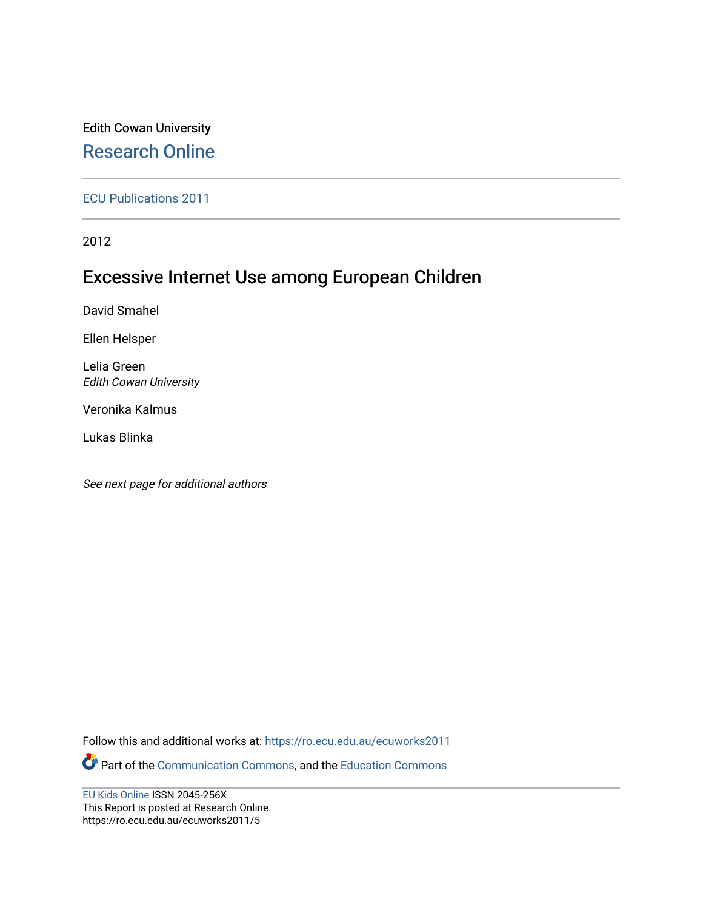### Edith Cowan University [Research Online](https://ro.ecu.edu.au/)

[ECU Publications 2011](https://ro.ecu.edu.au/ecuworks2011)

2012

### Excessive Internet Use among European Children

David Smahel

Ellen Helsper

Lelia Green Edith Cowan University

Veronika Kalmus

Lukas Blinka

See next page for additional authors

Follow this and additional works at: [https://ro.ecu.edu.au/ecuworks2011](https://ro.ecu.edu.au/ecuworks2011?utm_source=ro.ecu.edu.au%2Fecuworks2011%2F5&utm_medium=PDF&utm_campaign=PDFCoverPages) 

Part of the [Communication Commons,](http://network.bepress.com/hgg/discipline/325?utm_source=ro.ecu.edu.au%2Fecuworks2011%2F5&utm_medium=PDF&utm_campaign=PDFCoverPages) and the [Education Commons](http://network.bepress.com/hgg/discipline/784?utm_source=ro.ecu.edu.au%2Fecuworks2011%2F5&utm_medium=PDF&utm_campaign=PDFCoverPages) 

[EU Kids Online](http://www.eukidsonline.net/) ISSN 2045-256X This Report is posted at Research Online. https://ro.ecu.edu.au/ecuworks2011/5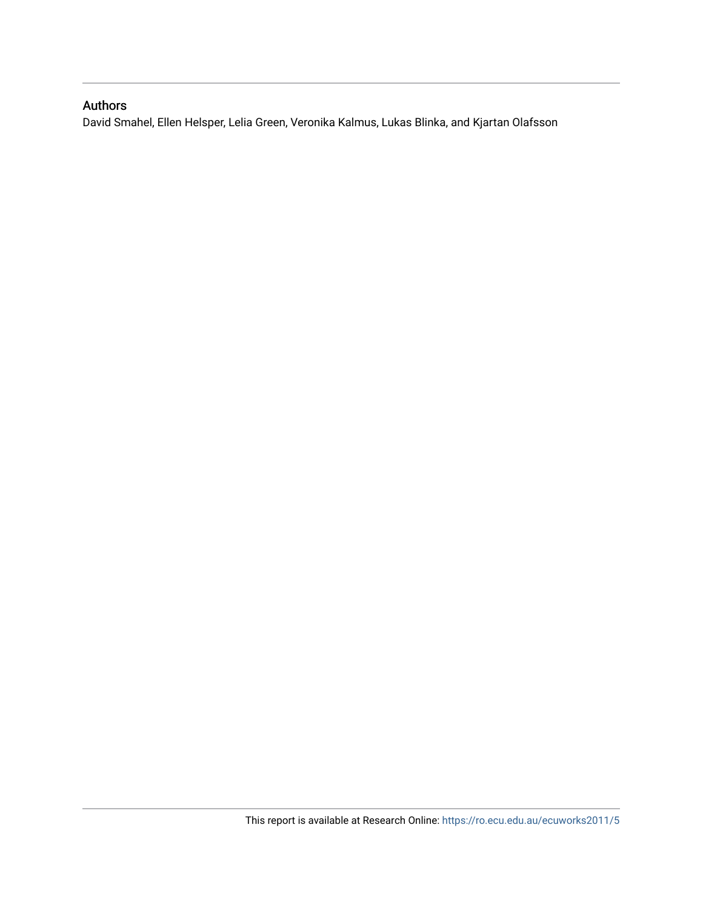### Authors

David Smahel, Ellen Helsper, Lelia Green, Veronika Kalmus, Lukas Blinka, and Kjartan Olafsson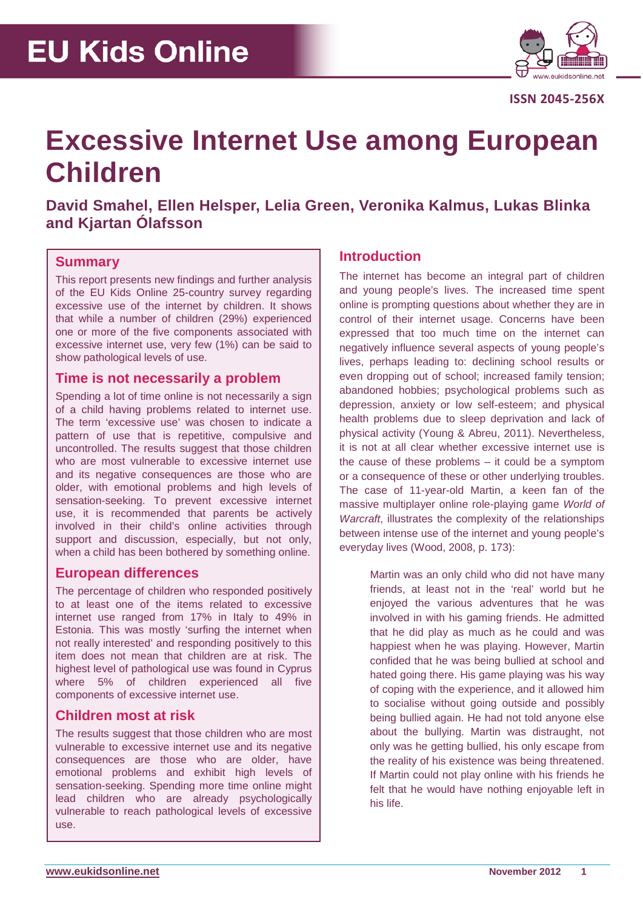

**ISSN 2045-256X**

### **Excessive Internet Use among European Children**

**David Smahel, Ellen Helsper, Lelia Green, Veronika Kalmus, Lukas Blinka and Kjartan Ólafsson**

### **Summary**

This report presents new findings and further analysis of the EU Kids Online 25-country survey regarding excessive use of the internet by children. It shows that while a number of children (29%) experienced one or more of the five components associated with excessive internet use, very few (1%) can be said to show pathological levels of use.

### **Time is not necessarily a problem**

Spending a lot of time online is not necessarily a sign of a child having problems related to internet use. The term 'excessive use' was chosen to indicate a pattern of use that is repetitive, compulsive and uncontrolled. The results suggest that those children who are most vulnerable to excessive internet use and its negative consequences are those who are older, with emotional problems and high levels of sensation-seeking. To prevent excessive internet use, it is recommended that parents be actively involved in their child's online activities through support and discussion, especially, but not only, when a child has been bothered by something online.

### **European differences**

The percentage of children who responded positively to at least one of the items related to excessive internet use ranged from 17% in Italy to 49% in Estonia. This was mostly 'surfing the internet when not really interested' and responding positively to this item does not mean that children are at risk. The highest level of pathological use was found in Cyprus where 5% of children experienced all five components of excessive internet use.

### **Children most at risk**

The results suggest that those children who are most vulnerable to excessive internet use and its negative consequences are those who are older, have emotional problems and exhibit high levels of sensation-seeking. Spending more time online might lead children who are already psychologically vulnerable to reach pathological levels of excessive use.

### **Introduction**

The internet has become an integral part of children and young people's lives. The increased time spent online is prompting questions about whether they are in control of their internet usage. Concerns have been expressed that too much time on the internet can negatively influence several aspects of young people's lives, perhaps leading to: declining school results or even dropping out of school; increased family tension; abandoned hobbies; psychological problems such as depression, anxiety or low self-esteem; and physical health problems due to sleep deprivation and lack of physical activity (Young & Abreu, 2011). Nevertheless, it is not at all clear whether excessive internet use is the cause of these problems – it could be a symptom or a consequence of these or other underlying troubles. The case of 11-year-old Martin, a keen fan of the massive multiplayer online role-playing game *World of Warcraft*, illustrates the complexity of the relationships between intense use of the internet and young people's everyday lives (Wood, 2008, p. 173):

> Martin was an only child who did not have many friends, at least not in the 'real' world but he enjoyed the various adventures that he was involved in with his gaming friends. He admitted that he did play as much as he could and was happiest when he was playing. However, Martin confided that he was being bullied at school and hated going there. His game playing was his way of coping with the experience, and it allowed him to socialise without going outside and possibly being bullied again. He had not told anyone else about the bullying. Martin was distraught, not only was he getting bullied, his only escape from the reality of his existence was being threatened. If Martin could not play online with his friends he felt that he would have nothing enjoyable left in his life.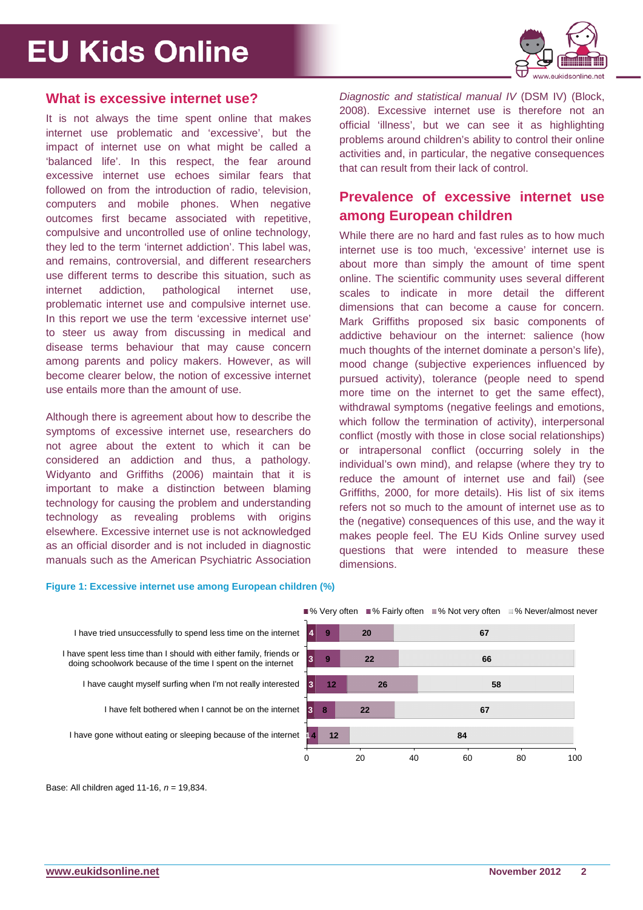

#### **What is excessive internet use?**

It is not always the time spent online that makes internet use problematic and 'excessive', but the impact of internet use on what might be called a 'balanced life'. In this respect, the fear around excessive internet use echoes similar fears that followed on from the introduction of radio, television, computers and mobile phones. When negative outcomes first became associated with repetitive, compulsive and uncontrolled use of online technology, they led to the term 'internet addiction'. This label was, and remains, controversial, and different researchers use different terms to describe this situation, such as internet addiction, pathological internet use, problematic internet use and compulsive internet use. In this report we use the term 'excessive internet use' to steer us away from discussing in medical and disease terms behaviour that may cause concern among parents and policy makers. However, as will become clearer below, the notion of excessive internet use entails more than the amount of use.

Although there is agreement about how to describe the symptoms of excessive internet use, researchers do not agree about the extent to which it can be considered an addiction and thus, a pathology. Widyanto and Griffiths (2006) maintain that it is important to make a distinction between blaming technology for causing the problem and understanding technology as revealing problems with origins elsewhere. Excessive internet use is not acknowledged as an official disorder and is not included in diagnostic manuals such as the American Psychiatric Association *Diagnostic and statistical manual IV* (DSM IV) (Block, 2008). Excessive internet use is therefore not an official 'illness', but we can see it as highlighting problems around children's ability to control their online activities and, in particular, the negative consequences that can result from their lack of control.

### **Prevalence of excessive internet use among European children**

While there are no hard and fast rules as to how much internet use is too much, 'excessive' internet use is about more than simply the amount of time spent online. The scientific community uses several different scales to indicate in more detail the different dimensions that can become a cause for concern. Mark Griffiths proposed six basic components of addictive behaviour on the internet: salience (how much thoughts of the internet dominate a person's life). mood change (subjective experiences influenced by pursued activity), tolerance (people need to spend more time on the internet to get the same effect), withdrawal symptoms (negative feelings and emotions, which follow the termination of activity), interpersonal conflict (mostly with those in close social relationships) or intrapersonal conflict (occurring solely in the individual's own mind), and relapse (where they try to reduce the amount of internet use and fail) (see Griffiths, 2000, for more details). His list of six items refers not so much to the amount of internet use as to the (negative) consequences of this use, and the way it makes people feel. The EU Kids Online survey used questions that were intended to measure these dimensions.

#### **Figure 1: Excessive internet use among European children (%)**



■% Very often ■% Fairly often ■% Not very often ■% Never/almost never



Base: All children aged 11-16, *n* = 19,834.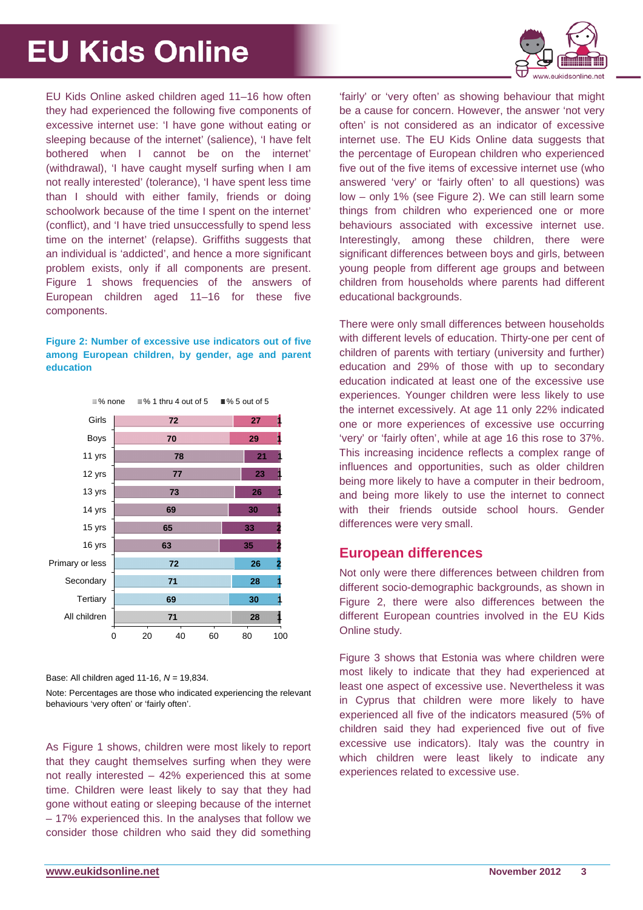

EU Kids Online asked children aged 11–16 how often they had experienced the following five components of excessive internet use: 'I have gone without eating or sleeping because of the internet' (salience), 'I have felt bothered when I cannot be on the internet' (withdrawal), 'I have caught myself surfing when I am not really interested' (tolerance), 'I have spent less time than I should with either family, friends or doing schoolwork because of the time I spent on the internet' (conflict), and 'I have tried unsuccessfully to spend less time on the internet' (relapse). Griffiths suggests that an individual is 'addicted', and hence a more significant problem exists, only if all components are present. Figure 1 shows frequencies of the answers of European children aged 11–16 for these five components.

#### **Figure 2: Number of excessive use indicators out of five among European children, by gender, age and parent education**



Base: All children aged 11-16, *N* = 19,834.

Note: Percentages are those who indicated experiencing the relevant behaviours 'very often' or 'fairly often'.

As Figure 1 shows, children were most likely to report that they caught themselves surfing when they were not really interested – 42% experienced this at some time. Children were least likely to say that they had gone without eating or sleeping because of the internet – 17% experienced this. In the analyses that follow we consider those children who said they did something

'fairly' or 'very often' as showing behaviour that might be a cause for concern. However, the answer 'not very often' is not considered as an indicator of excessive internet use. The EU Kids Online data suggests that the percentage of European children who experienced five out of the five items of excessive internet use (who answered 'very' or 'fairly often' to all questions) was low – only 1% (see Figure 2). We can still learn some things from children who experienced one or more behaviours associated with excessive internet use. Interestingly, among these children, there were significant differences between boys and girls, between young people from different age groups and between children from households where parents had different educational backgrounds.

There were only small differences between households with different levels of education. Thirty-one per cent of children of parents with tertiary (university and further) education and 29% of those with up to secondary education indicated at least one of the excessive use experiences. Younger children were less likely to use the internet excessively. At age 11 only 22% indicated one or more experiences of excessive use occurring 'very' or 'fairly often', while at age 16 this rose to 37%. This increasing incidence reflects a complex range of influences and opportunities, such as older children being more likely to have a computer in their bedroom, and being more likely to use the internet to connect with their friends outside school hours. Gender differences were very small.

### **European differences**

Not only were there differences between children from different socio-demographic backgrounds, as shown in Figure 2, there were also differences between the different European countries involved in the EU Kids Online study.

Figure 3 shows that Estonia was where children were most likely to indicate that they had experienced at least one aspect of excessive use. Nevertheless it was in Cyprus that children were more likely to have experienced all five of the indicators measured (5% of children said they had experienced five out of five excessive use indicators). Italy was the country in which children were least likely to indicate any experiences related to excessive use.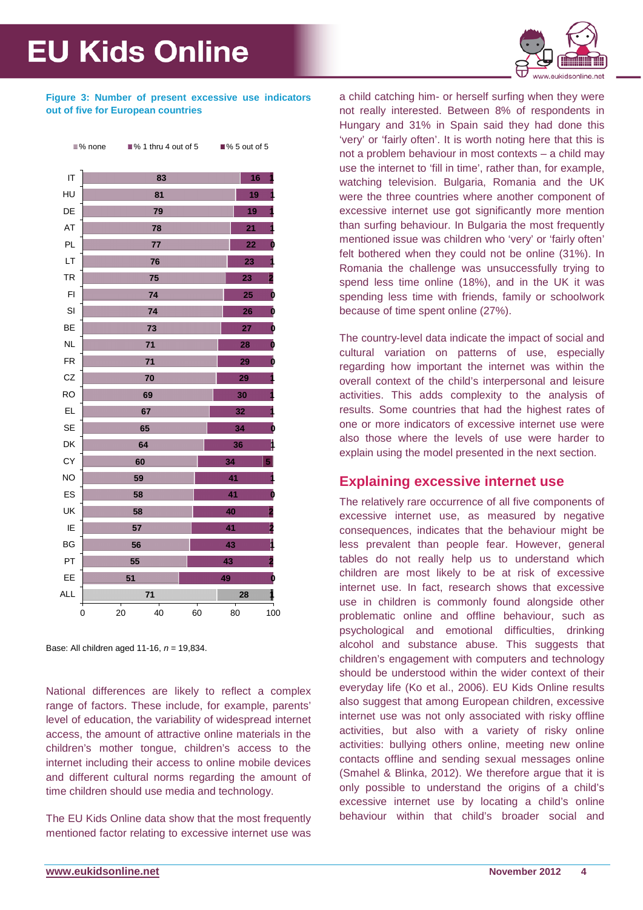

#### **Figure 3: Number of present excessive use indicators out of five for European countries**



Base: All children aged 11-16, *n* = 19,834.

National differences are likely to reflect a complex range of factors. These include, for example, parents' level of education, the variability of widespread internet access, the amount of attractive online materials in the children's mother tongue, children's access to the internet including their access to online mobile devices and different cultural norms regarding the amount of time children should use media and technology.

The EU Kids Online data show that the most frequently mentioned factor relating to excessive internet use was a child catching him- or herself surfing when they were not really interested. Between 8% of respondents in Hungary and 31% in Spain said they had done this 'very' or 'fairly often'. It is worth noting here that this is not a problem behaviour in most contexts – a child may use the internet to 'fill in time', rather than, for example, watching television. Bulgaria, Romania and the UK were the three countries where another component of excessive internet use got significantly more mention than surfing behaviour. In Bulgaria the most frequently mentioned issue was children who 'very' or 'fairly often' felt bothered when they could not be online (31%). In Romania the challenge was unsuccessfully trying to spend less time online (18%), and in the UK it was spending less time with friends, family or schoolwork because of time spent online (27%).

The country-level data indicate the impact of social and cultural variation on patterns of use, especially regarding how important the internet was within the overall context of the child's interpersonal and leisure activities. This adds complexity to the analysis of results. Some countries that had the highest rates of one or more indicators of excessive internet use were also those where the levels of use were harder to explain using the model presented in the next section.

### **Explaining excessive internet use**

The relatively rare occurrence of all five components of excessive internet use, as measured by negative consequences, indicates that the behaviour might be less prevalent than people fear. However, general tables do not really help us to understand which children are most likely to be at risk of excessive internet use. In fact, research shows that excessive use in children is commonly found alongside other problematic online and offline behaviour, such as psychological and emotional difficulties, drinking alcohol and substance abuse. This suggests that children's engagement with computers and technology should be understood within the wider context of their everyday life (Ko et al., 2006). EU Kids Online results also suggest that among European children, excessive internet use was not only associated with risky offline activities, but also with a variety of risky online activities: bullying others online, meeting new online contacts offline and sending sexual messages online (Smahel & Blinka, 2012). We therefore argue that it is only possible to understand the origins of a child's excessive internet use by locating a child's online behaviour within that child's broader social and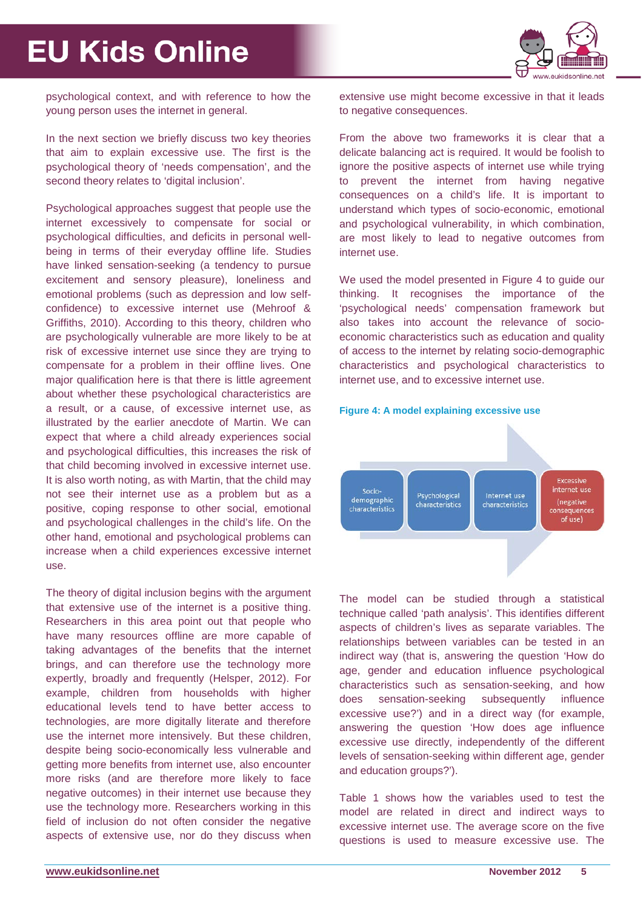

psychological context, and with reference to how the young person uses the internet in general.

In the next section we briefly discuss two key theories that aim to explain excessive use. The first is the psychological theory of 'needs compensation', and the second theory relates to 'digital inclusion'.

Psychological approaches suggest that people use the internet excessively to compensate for social or psychological difficulties, and deficits in personal wellbeing in terms of their everyday offline life. Studies have linked sensation-seeking (a tendency to pursue excitement and sensory pleasure), loneliness and emotional problems (such as depression and low selfconfidence) to excessive internet use (Mehroof & Griffiths, 2010). According to this theory, children who are psychologically vulnerable are more likely to be at risk of excessive internet use since they are trying to compensate for a problem in their offline lives. One major qualification here is that there is little agreement about whether these psychological characteristics are a result, or a cause, of excessive internet use, as illustrated by the earlier anecdote of Martin. We can expect that where a child already experiences social and psychological difficulties, this increases the risk of that child becoming involved in excessive internet use. It is also worth noting, as with Martin, that the child may not see their internet use as a problem but as a positive, coping response to other social, emotional and psychological challenges in the child's life. On the other hand, emotional and psychological problems can increase when a child experiences excessive internet use.

The theory of digital inclusion begins with the argument that extensive use of the internet is a positive thing. Researchers in this area point out that people who have many resources offline are more capable of taking advantages of the benefits that the internet brings, and can therefore use the technology more expertly, broadly and frequently (Helsper, 2012). For example, children from households with higher educational levels tend to have better access to technologies, are more digitally literate and therefore use the internet more intensively. But these children, despite being socio-economically less vulnerable and getting more benefits from internet use, also encounter more risks (and are therefore more likely to face negative outcomes) in their internet use because they use the technology more. Researchers working in this field of inclusion do not often consider the negative aspects of extensive use, nor do they discuss when

extensive use might become excessive in that it leads to negative consequences.

From the above two frameworks it is clear that a delicate balancing act is required. It would be foolish to ignore the positive aspects of internet use while trying to prevent the internet from having negative consequences on a child's life. It is important to understand which types of socio-economic, emotional and psychological vulnerability, in which combination, are most likely to lead to negative outcomes from internet use.

We used the model presented in Figure 4 to guide our thinking. It recognises the importance of the 'psychological needs' compensation framework but also takes into account the relevance of socioeconomic characteristics such as education and quality of access to the internet by relating socio-demographic characteristics and psychological characteristics to internet use, and to excessive internet use.





The model can be studied through a statistical technique called 'path analysis'. This identifies different aspects of children's lives as separate variables. The relationships between variables can be tested in an indirect way (that is, answering the question 'How do age, gender and education influence psychological characteristics such as sensation-seeking, and how does sensation-seeking subsequently influence excessive use?') and in a direct way (for example, answering the question 'How does age influence excessive use directly, independently of the different levels of sensation-seeking within different age, gender and education groups?').

Table 1 shows how the variables used to test the model are related in direct and indirect ways to excessive internet use. The average score on the five questions is used to measure excessive use. The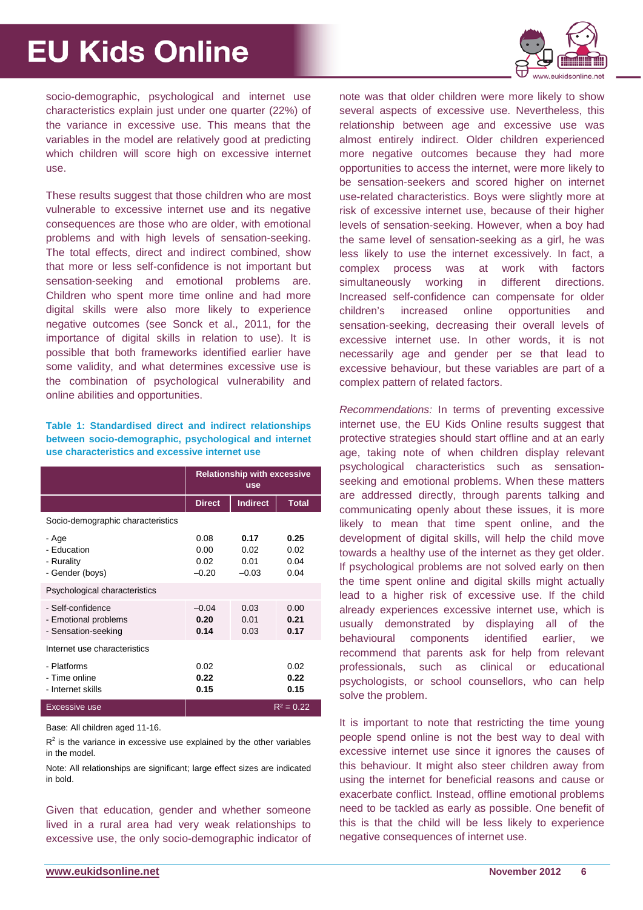

socio-demographic, psychological and internet use characteristics explain just under one quarter (22%) of the variance in excessive use. This means that the variables in the model are relatively good at predicting which children will score high on excessive internet use.

These results suggest that those children who are most vulnerable to excessive internet use and its negative consequences are those who are older, with emotional problems and with high levels of sensation-seeking. The total effects, direct and indirect combined, show that more or less self-confidence is not important but sensation-seeking and emotional problems are. Children who spent more time online and had more digital skills were also more likely to experience negative outcomes (see Sonck et al., 2011, for the importance of digital skills in relation to use). It is possible that both frameworks identified earlier have some validity, and what determines excessive use is the combination of psychological vulnerability and online abilities and opportunities.

#### **Table 1: Standardised direct and indirect relationships between socio-demographic, psychological and internet use characteristics and excessive internet use**

|                                                                  | <b>Relationship with excessive</b><br><b>use</b> |                                 |                              |
|------------------------------------------------------------------|--------------------------------------------------|---------------------------------|------------------------------|
|                                                                  | <b>Direct</b>                                    | <b>Indirect</b>                 | <b>Total</b>                 |
| Socio-demographic characteristics                                |                                                  |                                 |                              |
| - Age<br>- Education<br>- Rurality<br>- Gender (boys)            | 0.08<br>0.00<br>0.02<br>$-0.20$                  | 0.17<br>0.02<br>0.01<br>$-0.03$ | 0.25<br>0.02<br>0.04<br>0.04 |
| Psychological characteristics                                    |                                                  |                                 |                              |
| - Self-confidence<br>- Emotional problems<br>- Sensation-seeking | $-0.04$<br>0.20<br>0.14                          | 0.03<br>0.01<br>0.03            | 0.00<br>0.21<br>0.17         |
| Internet use characteristics                                     |                                                  |                                 |                              |
| - Platforms<br>- Time online<br>- Internet skills                | 0.02<br>0.22<br>0.15                             |                                 | 0.02<br>0.22<br>0.15         |
| Excessive use                                                    |                                                  |                                 | $R^2 = 0.22$                 |

Base: All children aged 11-16.

 $R<sup>2</sup>$  is the variance in excessive use explained by the other variables in the model.

Note: All relationships are significant; large effect sizes are indicated in bold.

Given that education, gender and whether someone lived in a rural area had very weak relationships to excessive use, the only socio-demographic indicator of note was that older children were more likely to show several aspects of excessive use. Nevertheless, this relationship between age and excessive use was almost entirely indirect. Older children experienced more negative outcomes because they had more opportunities to access the internet, were more likely to be sensation-seekers and scored higher on internet use-related characteristics. Boys were slightly more at risk of excessive internet use, because of their higher levels of sensation-seeking. However, when a boy had the same level of sensation-seeking as a girl, he was less likely to use the internet excessively. In fact, a complex process was at work with factors simultaneously working in different directions. Increased self-confidence can compensate for older children's increased online opportunities and sensation-seeking, decreasing their overall levels of excessive internet use. In other words, it is not necessarily age and gender per se that lead to excessive behaviour, but these variables are part of a complex pattern of related factors.

*Recommendations:* In terms of preventing excessive internet use, the EU Kids Online results suggest that protective strategies should start offline and at an early age, taking note of when children display relevant psychological characteristics such as sensationseeking and emotional problems. When these matters are addressed directly, through parents talking and communicating openly about these issues, it is more likely to mean that time spent online, and the development of digital skills, will help the child move towards a healthy use of the internet as they get older. If psychological problems are not solved early on then the time spent online and digital skills might actually lead to a higher risk of excessive use. If the child already experiences excessive internet use, which is usually demonstrated by displaying all of the behavioural components identified earlier, we recommend that parents ask for help from relevant professionals, such as clinical or educational psychologists, or school counsellors, who can help solve the problem.

It is important to note that restricting the time young people spend online is not the best way to deal with excessive internet use since it ignores the causes of this behaviour. It might also steer children away from using the internet for beneficial reasons and cause or exacerbate conflict. Instead, offline emotional problems need to be tackled as early as possible. One benefit of this is that the child will be less likely to experience negative consequences of internet use.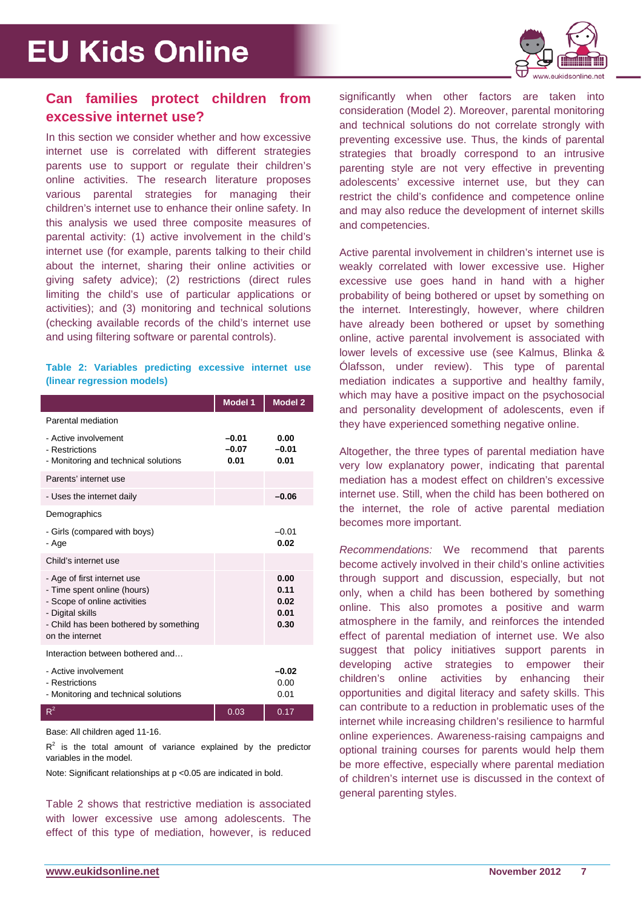

### **Can families protect children from excessive internet use?**

In this section we consider whether and how excessive internet use is correlated with different strategies parents use to support or regulate their children's online activities. The research literature proposes various parental strategies for managing their children's internet use to enhance their online safety. In this analysis we used three composite measures of parental activity: (1) active involvement in the child's internet use (for example, parents talking to their child about the internet, sharing their online activities or giving safety advice); (2) restrictions (direct rules limiting the child's use of particular applications or activities); and (3) monitoring and technical solutions (checking available records of the child's internet use and using filtering software or parental controls).

**Table 2: Variables predicting excessive internet use (linear regression models)**

|                                                                                                                                                                             | <b>Model 1</b>             | <b>Model 2</b>                       |
|-----------------------------------------------------------------------------------------------------------------------------------------------------------------------------|----------------------------|--------------------------------------|
| Parental mediation                                                                                                                                                          |                            |                                      |
| - Active involvement<br>- Restrictions<br>- Monitoring and technical solutions                                                                                              | $-0.01$<br>$-0.07$<br>0.01 | 0.00<br>$-0.01$<br>0.01              |
| Parents' internet use                                                                                                                                                       |                            |                                      |
| - Uses the internet daily                                                                                                                                                   |                            | $-0.06$                              |
| Demographics                                                                                                                                                                |                            |                                      |
| - Girls (compared with boys)<br>- Age                                                                                                                                       |                            | $-0.01$<br>0.02                      |
| Child's internet use                                                                                                                                                        |                            |                                      |
| - Age of first internet use<br>- Time spent online (hours)<br>- Scope of online activities<br>- Digital skills<br>- Child has been bothered by something<br>on the internet |                            | 0.00<br>0.11<br>0.02<br>0.01<br>0.30 |
| Interaction between bothered and                                                                                                                                            |                            |                                      |
| - Active involvement<br>- Restrictions<br>- Monitoring and technical solutions                                                                                              |                            | $-0.02$<br>0.00<br>0.01              |
| $R^2$                                                                                                                                                                       | 0.03                       | 0.17                                 |

Base: All children aged 11-16.

 $R<sup>2</sup>$  is the total amount of variance explained by the predictor variables in the model.

Note: Significant relationships at p <0.05 are indicated in bold.

Table 2 shows that restrictive mediation is associated with lower excessive use among adolescents. The effect of this type of mediation, however, is reduced

significantly when other factors are taken into consideration (Model 2). Moreover, parental monitoring and technical solutions do not correlate strongly with preventing excessive use. Thus, the kinds of parental strategies that broadly correspond to an intrusive parenting style are not very effective in preventing adolescents' excessive internet use, but they can restrict the child's confidence and competence online and may also reduce the development of internet skills and competencies.

Active parental involvement in children's internet use is weakly correlated with lower excessive use. Higher excessive use goes hand in hand with a higher probability of being bothered or upset by something on the internet. Interestingly, however, where children have already been bothered or upset by something online, active parental involvement is associated with lower levels of excessive use (see Kalmus, Blinka & Ólafsson, under review). This type of parental mediation indicates a supportive and healthy family, which may have a positive impact on the psychosocial and personality development of adolescents, even if they have experienced something negative online.

Altogether, the three types of parental mediation have very low explanatory power, indicating that parental mediation has a modest effect on children's excessive internet use. Still, when the child has been bothered on the internet, the role of active parental mediation becomes more important.

*Recommendations:* We recommend that parents become actively involved in their child's online activities through support and discussion, especially, but not only, when a child has been bothered by something online. This also promotes a positive and warm atmosphere in the family, and reinforces the intended effect of parental mediation of internet use. We also suggest that policy initiatives support parents in developing active strategies to empower their children's online activities by enhancing their opportunities and digital literacy and safety skills. This can contribute to a reduction in problematic uses of the internet while increasing children's resilience to harmful online experiences. Awareness-raising campaigns and optional training courses for parents would help them be more effective, especially where parental mediation of children's internet use is discussed in the context of general parenting styles.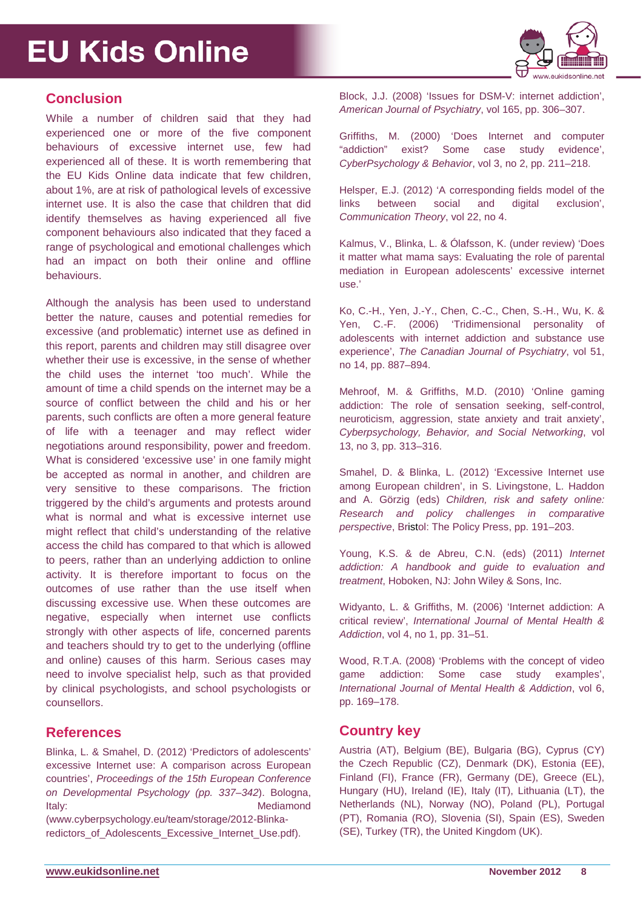

### **Conclusion**

While a number of children said that they had experienced one or more of the five component behaviours of excessive internet use, few had experienced all of these. It is worth remembering that the EU Kids Online data indicate that few children, about 1%, are at risk of pathological levels of excessive internet use. It is also the case that children that did identify themselves as having experienced all five component behaviours also indicated that they faced a range of psychological and emotional challenges which had an impact on both their online and offline behaviours.

Although the analysis has been used to understand better the nature, causes and potential remedies for excessive (and problematic) internet use as defined in this report, parents and children may still disagree over whether their use is excessive, in the sense of whether the child uses the internet 'too much'. While the amount of time a child spends on the internet may be a source of conflict between the child and his or her parents, such conflicts are often a more general feature of life with a teenager and may reflect wider negotiations around responsibility, power and freedom. What is considered 'excessive use' in one family might be accepted as normal in another, and children are very sensitive to these comparisons. The friction triggered by the child's arguments and protests around what is normal and what is excessive internet use might reflect that child's understanding of the relative access the child has compared to that which is allowed to peers, rather than an underlying addiction to online activity. It is therefore important to focus on the outcomes of use rather than the use itself when discussing excessive use. When these outcomes are negative, especially when internet use conflicts strongly with other aspects of life, concerned parents and teachers should try to get to the underlying (offline and online) causes of this harm. Serious cases may need to involve specialist help, such as that provided by clinical psychologists, and school psychologists or counsellors.

### **References**

Blinka, L. & Smahel, D. (2012) 'Predictors of adolescents' excessive Internet use: A comparison across European countries', *Proceedings of the 15th European Conference on Developmental Psychology (pp. 337–342*). Bologna, Italy: **Mediamond Mediamond** 

(www.cyberpsychology.eu/team/storage/2012-Blinkaredictors\_of\_Adolescents\_Excessive\_Internet\_Use.pdf). Block, J.J. (2008) 'Issues for DSM-V: internet addiction', *American Journal of Psychiatry*, vol 165, pp. 306–307.

Griffiths, M. (2000) 'Does Internet and computer "addiction" exist? Some case study evidence', *CyberPsychology & Behavior*, vol 3, no 2, pp. 211–218.

Helsper, E.J. (2012) 'A corresponding fields model of the links between social and digital exclusion', *Communication Theory*, vol 22, no 4.

Kalmus, V., Blinka, L. & Ólafsson, K. (under review) 'Does it matter what mama says: Evaluating the role of parental mediation in European adolescents' excessive internet use.'

Ko, C.-H., Yen, J.-Y., Chen, C.-C., Chen, S.-H., Wu, K. & Yen, C.-F. (2006) 'Tridimensional personality of adolescents with internet addiction and substance use experience', *The Canadian Journal of Psychiatry*, vol 51, no 14, pp. 887–894.

Mehroof, M. & Griffiths, M.D. (2010) 'Online gaming addiction: The role of sensation seeking, self-control, neuroticism, aggression, state anxiety and trait anxiety', *Cyberpsychology, Behavior, and Social Networking*, vol 13, no 3, pp. 313–316.

Smahel, D. & Blinka, L. (2012) 'Excessive Internet use among European children', in S. Livingstone, L. Haddon and A. Görzig (eds) *Children, risk and safety online: Research and policy challenges in comparative perspective*, Bristol: The Policy Press, pp. 191–203.

Young, K.S. & de Abreu, C.N. (eds) (2011) *Internet addiction: A handbook and guide to evaluation and treatment*, Hoboken, NJ: John Wiley & Sons, Inc.

Widyanto, L. & Griffiths, M. (2006) 'Internet addiction: A critical review', *International Journal of Mental Health & Addiction*, vol 4, no 1, pp. 31–51.

Wood, R.T.A. (2008) 'Problems with the concept of video game addiction: Some case study examples', *International Journal of Mental Health & Addiction*, vol 6, pp. 169–178.

### **Country key**

Austria (AT), Belgium (BE), Bulgaria (BG), Cyprus (CY) the Czech Republic (CZ), Denmark (DK), Estonia (EE), Finland (FI), France (FR), Germany (DE), Greece (EL), Hungary (HU), Ireland (IE), Italy (IT), Lithuania (LT), the Netherlands (NL), Norway (NO), Poland (PL), Portugal (PT), Romania (RO), Slovenia (SI), Spain (ES), Sweden (SE), Turkey (TR), the United Kingdom (UK).